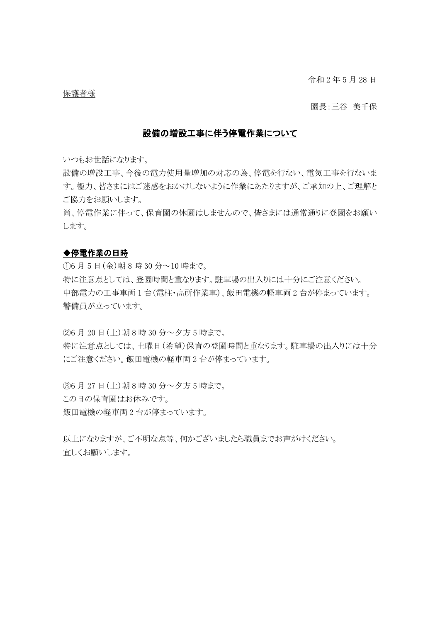令和 2 年 5 月 28 日

#### 保護者様

園長:三谷 美千保

# 設備の増設工事に伴う停電作業について

いつもお世話になります。

設備の増設工事、今後の電力使用量増加の対応の為、停電を行ない、電気工事を行ないま す。極力、皆さまにはご迷惑をおかけしないように作業にあたりますが、ご承知の上、ご理解と ご協力をお願いします。

尚、停電作業に伴って、保育園の休園はしませんので、皆さまには通常通りに登園をお願い します。

### ◆停電作業の日時

①6 月 5 日(金)朝 8 時 30 分~10 時まで。 特に注意点としては、登園時間と重なります。駐車場の出入りには十分にご注意ください。 中部電力の工事車両 1 台(電柱・高所作業車)、飯田電機の軽車両 2 台が停まっています。 警備員が立っています。

②6 月 20 日(土)朝 8 時 30 分~夕方 5 時まで。

特に注意点としては、土曜日(希望)保育の登園時間と重なります。駐車場の出入りには十分 にご注意ください。飯田電機の軽車両 2 台が停まっています。

③6 月 27 日(土)朝 8 時 30 分~夕方 5 時まで。 この日の保育園はお休みです。 飯田電機の軽車両 2 台が停まっています。

以上になりますが、ご不明な点等、何かございましたら職員までお声がけください。 宜しくお願いします。